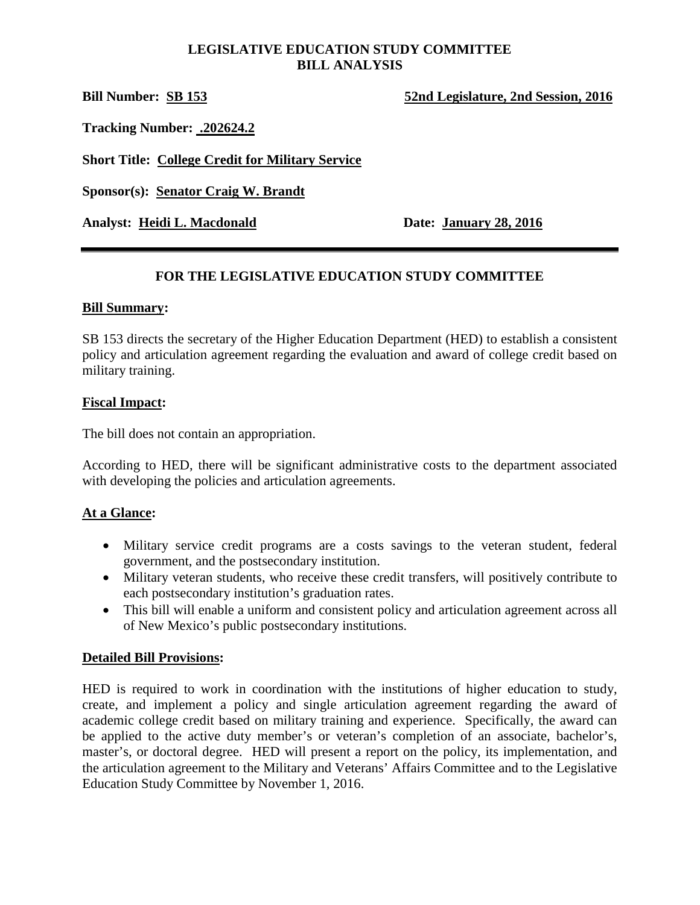## **LEGISLATIVE EDUCATION STUDY COMMITTEE BILL ANALYSIS**

**Bill Number: SB 153 52nd Legislature, 2nd Session, 2016**

**Tracking Number: .202624.2**

**Short Title: College Credit for Military Service**

**Sponsor(s): Senator Craig W. Brandt**

**Analyst: Heidi L. Macdonald Date: January 28, 2016**

# **FOR THE LEGISLATIVE EDUCATION STUDY COMMITTEE**

## **Bill Summary:**

SB 153 directs the secretary of the Higher Education Department (HED) to establish a consistent policy and articulation agreement regarding the evaluation and award of college credit based on military training.

## **Fiscal Impact:**

The bill does not contain an appropriation.

According to HED, there will be significant administrative costs to the department associated with developing the policies and articulation agreements.

# **At a Glance:**

- Military service credit programs are a costs savings to the veteran student, federal government, and the postsecondary institution.
- Military veteran students, who receive these credit transfers, will positively contribute to each postsecondary institution's graduation rates.
- This bill will enable a uniform and consistent policy and articulation agreement across all of New Mexico's public postsecondary institutions.

#### **Detailed Bill Provisions:**

HED is required to work in coordination with the institutions of higher education to study, create, and implement a policy and single articulation agreement regarding the award of academic college credit based on military training and experience. Specifically, the award can be applied to the active duty member's or veteran's completion of an associate, bachelor's, master's, or doctoral degree. HED will present a report on the policy, its implementation, and the articulation agreement to the Military and Veterans' Affairs Committee and to the Legislative Education Study Committee by November 1, 2016.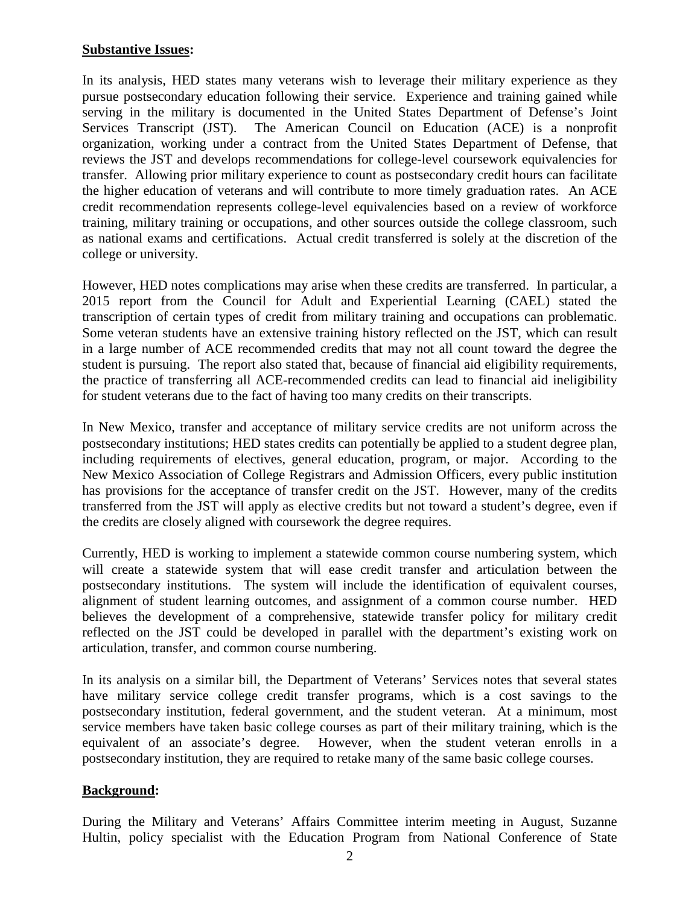#### **Substantive Issues:**

In its analysis, HED states many veterans wish to leverage their military experience as they pursue postsecondary education following their service. Experience and training gained while serving in the military is documented in the United States Department of Defense's Joint Services Transcript (JST). The American Council on Education (ACE) is a nonprofit organization, working under a contract from the United States Department of Defense, that reviews the JST and develops recommendations for college-level coursework equivalencies for transfer. Allowing prior military experience to count as postsecondary credit hours can facilitate the higher education of veterans and will contribute to more timely graduation rates. An ACE credit recommendation represents college-level equivalencies based on a review of workforce training, military training or occupations, and other sources outside the college classroom, such as national exams and certifications. Actual credit transferred is solely at the discretion of the college or university.

However, HED notes complications may arise when these credits are transferred. In particular, a 2015 report from the Council for Adult and Experiential Learning (CAEL) stated the transcription of certain types of credit from military training and occupations can problematic. Some veteran students have an extensive training history reflected on the JST, which can result in a large number of ACE recommended credits that may not all count toward the degree the student is pursuing. The report also stated that, because of financial aid eligibility requirements, the practice of transferring all ACE-recommended credits can lead to financial aid ineligibility for student veterans due to the fact of having too many credits on their transcripts.

In New Mexico, transfer and acceptance of military service credits are not uniform across the postsecondary institutions; HED states credits can potentially be applied to a student degree plan, including requirements of electives, general education, program, or major. According to the New Mexico Association of College Registrars and Admission Officers, every public institution has provisions for the acceptance of transfer credit on the JST. However, many of the credits transferred from the JST will apply as elective credits but not toward a student's degree, even if the credits are closely aligned with coursework the degree requires.

Currently, HED is working to implement a statewide common course numbering system, which will create a statewide system that will ease credit transfer and articulation between the postsecondary institutions. The system will include the identification of equivalent courses, alignment of student learning outcomes, and assignment of a common course number. HED believes the development of a comprehensive, statewide transfer policy for military credit reflected on the JST could be developed in parallel with the department's existing work on articulation, transfer, and common course numbering.

In its analysis on a similar bill, the Department of Veterans' Services notes that several states have military service college credit transfer programs, which is a cost savings to the postsecondary institution, federal government, and the student veteran. At a minimum, most service members have taken basic college courses as part of their military training, which is the equivalent of an associate's degree. However, when the student veteran enrolls in a postsecondary institution, they are required to retake many of the same basic college courses.

# **Background:**

During the Military and Veterans' Affairs Committee interim meeting in August, Suzanne Hultin, policy specialist with the Education Program from National Conference of State